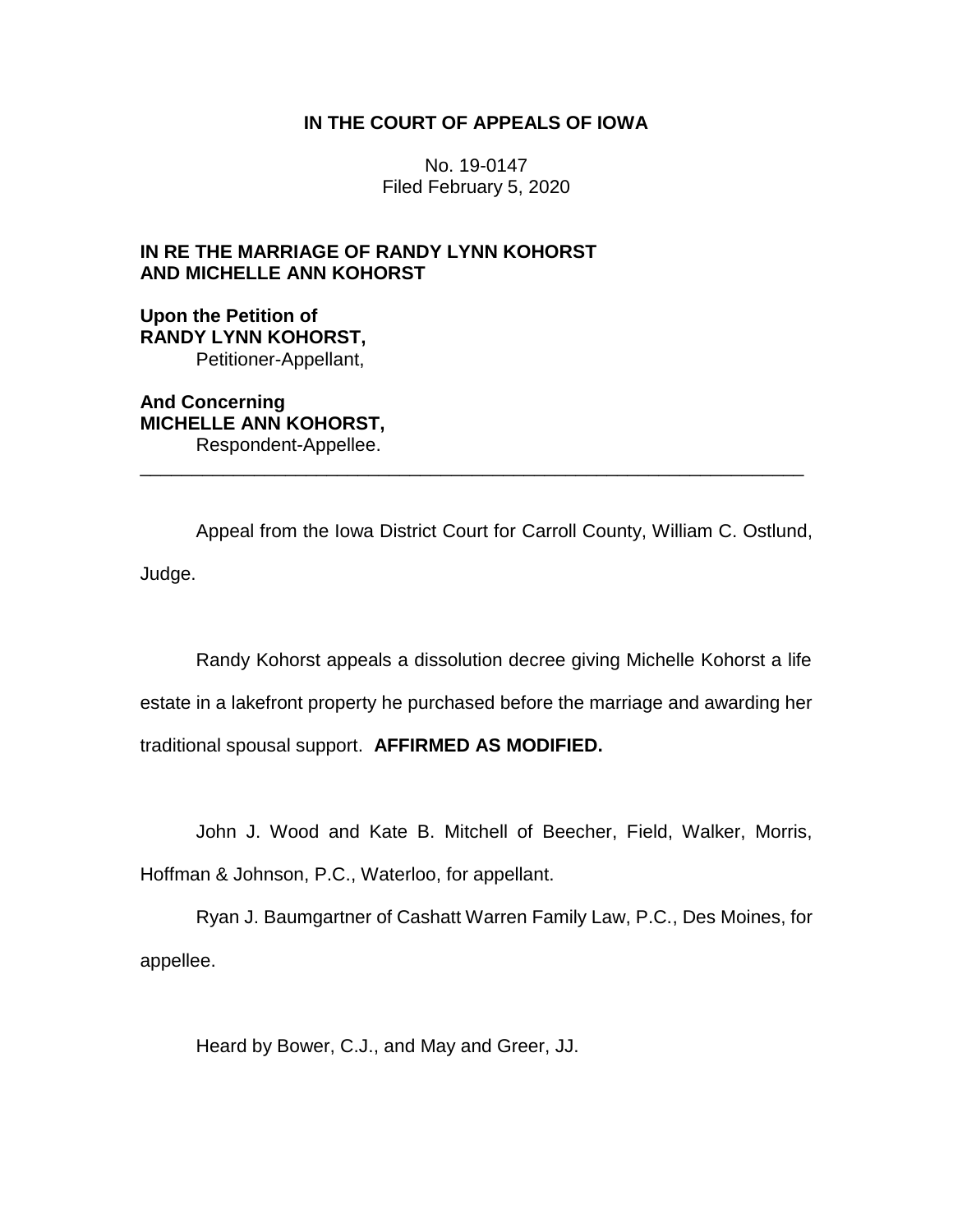## **IN THE COURT OF APPEALS OF IOWA**

No. 19-0147 Filed February 5, 2020

# **IN RE THE MARRIAGE OF RANDY LYNN KOHORST AND MICHELLE ANN KOHORST**

**Upon the Petition of RANDY LYNN KOHORST,** Petitioner-Appellant,

**And Concerning MICHELLE ANN KOHORST,** Respondent-Appellee. \_\_\_\_\_\_\_\_\_\_\_\_\_\_\_\_\_\_\_\_\_\_\_\_\_\_\_\_\_\_\_\_\_\_\_\_\_\_\_\_\_\_\_\_\_\_\_\_\_\_\_\_\_\_\_\_\_\_\_\_\_\_\_\_

Appeal from the Iowa District Court for Carroll County, William C. Ostlund, Judge.

Randy Kohorst appeals a dissolution decree giving Michelle Kohorst a life estate in a lakefront property he purchased before the marriage and awarding her traditional spousal support. **AFFIRMED AS MODIFIED.**

John J. Wood and Kate B. Mitchell of Beecher, Field, Walker, Morris, Hoffman & Johnson, P.C., Waterloo, for appellant.

Ryan J. Baumgartner of Cashatt Warren Family Law, P.C., Des Moines, for appellee.

Heard by Bower, C.J., and May and Greer, JJ.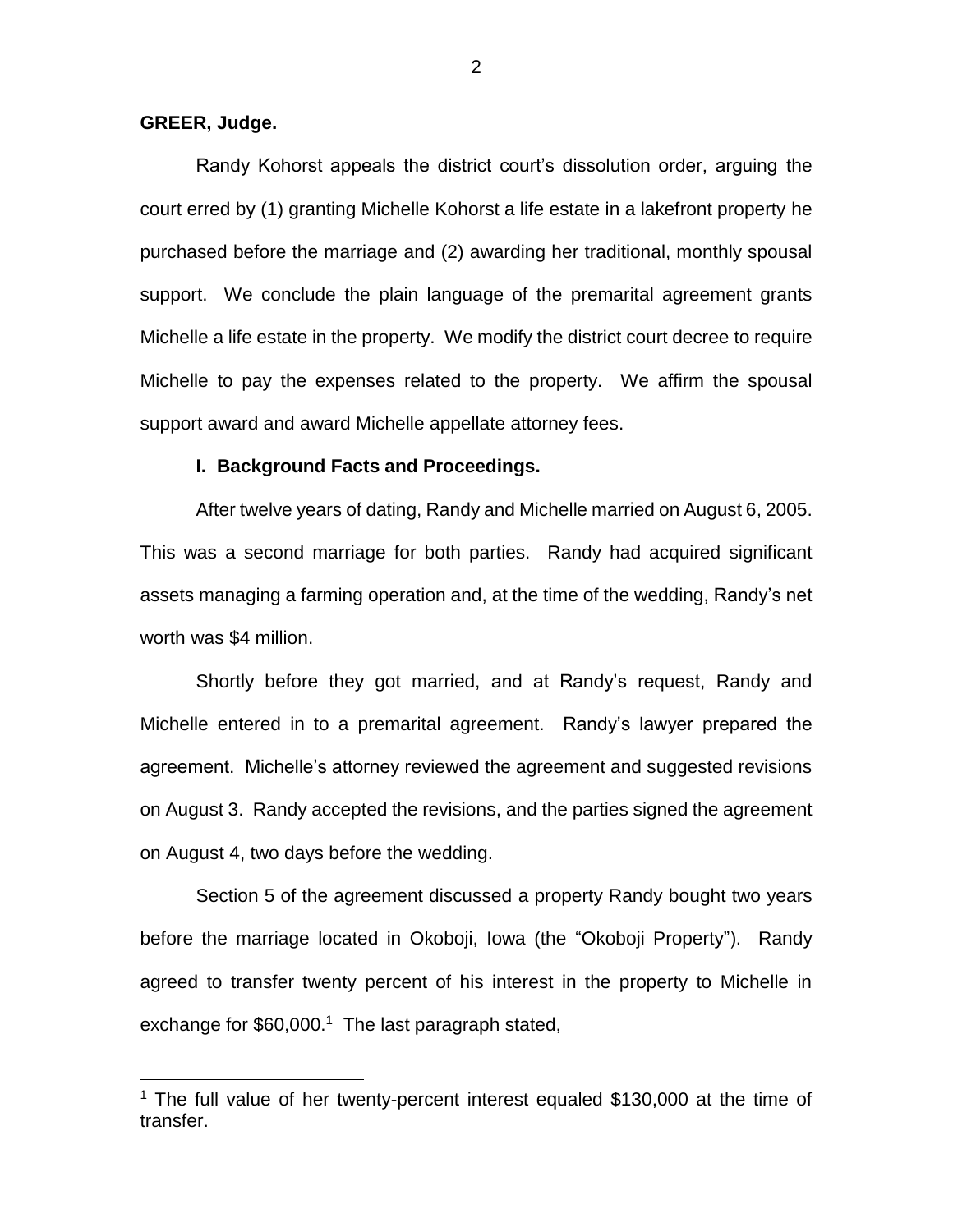### **GREER, Judge.**

 $\overline{a}$ 

Randy Kohorst appeals the district court's dissolution order, arguing the court erred by (1) granting Michelle Kohorst a life estate in a lakefront property he purchased before the marriage and (2) awarding her traditional, monthly spousal support. We conclude the plain language of the premarital agreement grants Michelle a life estate in the property. We modify the district court decree to require Michelle to pay the expenses related to the property. We affirm the spousal support award and award Michelle appellate attorney fees.

### **I. Background Facts and Proceedings.**

After twelve years of dating, Randy and Michelle married on August 6, 2005. This was a second marriage for both parties. Randy had acquired significant assets managing a farming operation and, at the time of the wedding, Randy's net worth was \$4 million.

Shortly before they got married, and at Randy's request, Randy and Michelle entered in to a premarital agreement. Randy's lawyer prepared the agreement. Michelle's attorney reviewed the agreement and suggested revisions on August 3. Randy accepted the revisions, and the parties signed the agreement on August 4, two days before the wedding.

Section 5 of the agreement discussed a property Randy bought two years before the marriage located in Okoboji, Iowa (the "Okoboji Property"). Randy agreed to transfer twenty percent of his interest in the property to Michelle in exchange for  $$60,000$ <sup>1</sup> The last paragraph stated,

<sup>&</sup>lt;sup>1</sup> The full value of her twenty-percent interest equaled \$130,000 at the time of transfer.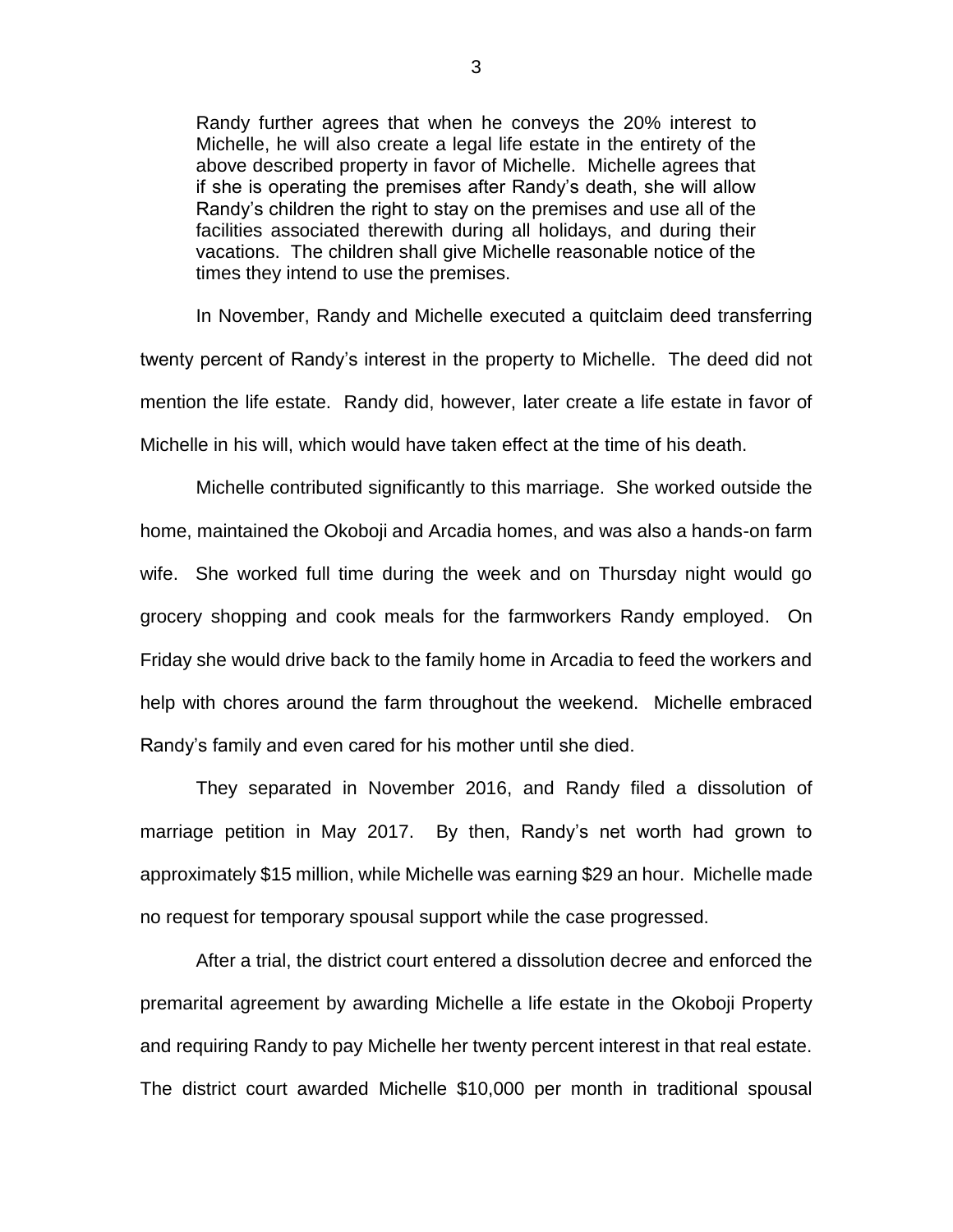Randy further agrees that when he conveys the 20% interest to Michelle, he will also create a legal life estate in the entirety of the above described property in favor of Michelle. Michelle agrees that if she is operating the premises after Randy's death, she will allow Randy's children the right to stay on the premises and use all of the facilities associated therewith during all holidays, and during their vacations. The children shall give Michelle reasonable notice of the times they intend to use the premises.

In November, Randy and Michelle executed a quitclaim deed transferring twenty percent of Randy's interest in the property to Michelle. The deed did not mention the life estate. Randy did, however, later create a life estate in favor of Michelle in his will, which would have taken effect at the time of his death.

Michelle contributed significantly to this marriage. She worked outside the home, maintained the Okoboji and Arcadia homes, and was also a hands-on farm wife. She worked full time during the week and on Thursday night would go grocery shopping and cook meals for the farmworkers Randy employed. On Friday she would drive back to the family home in Arcadia to feed the workers and help with chores around the farm throughout the weekend. Michelle embraced Randy's family and even cared for his mother until she died.

They separated in November 2016, and Randy filed a dissolution of marriage petition in May 2017. By then, Randy's net worth had grown to approximately \$15 million, while Michelle was earning \$29 an hour. Michelle made no request for temporary spousal support while the case progressed.

After a trial, the district court entered a dissolution decree and enforced the premarital agreement by awarding Michelle a life estate in the Okoboji Property and requiring Randy to pay Michelle her twenty percent interest in that real estate. The district court awarded Michelle \$10,000 per month in traditional spousal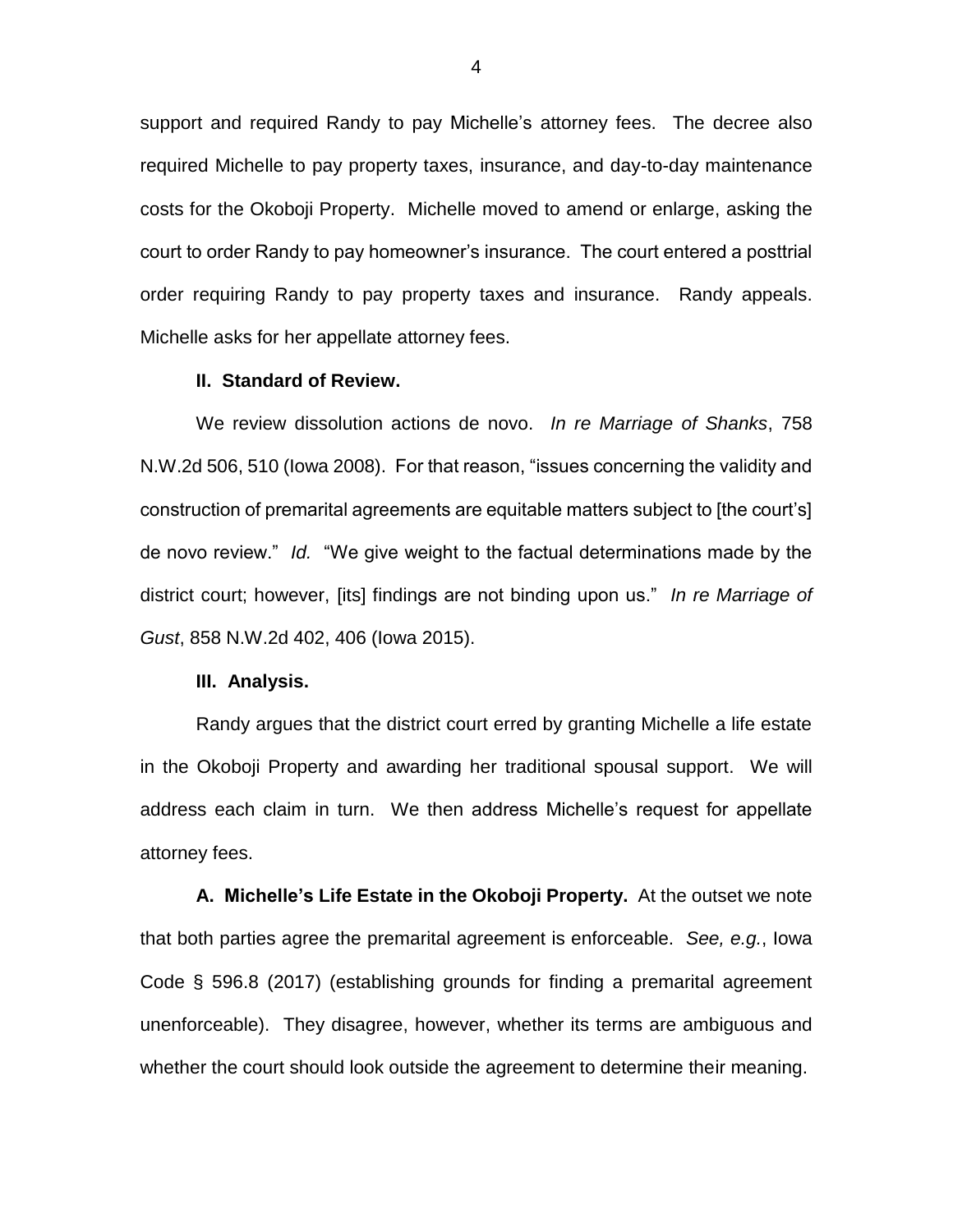support and required Randy to pay Michelle's attorney fees. The decree also required Michelle to pay property taxes, insurance, and day-to-day maintenance costs for the Okoboji Property. Michelle moved to amend or enlarge, asking the court to order Randy to pay homeowner's insurance. The court entered a posttrial order requiring Randy to pay property taxes and insurance. Randy appeals. Michelle asks for her appellate attorney fees.

### **II. Standard of Review.**

We review dissolution actions de novo. *In re Marriage of Shanks*, 758 N.W.2d 506, 510 (Iowa 2008). For that reason, "issues concerning the validity and construction of premarital agreements are equitable matters subject to [the court's] de novo review." *Id.* "We give weight to the factual determinations made by the district court; however, [its] findings are not binding upon us." *In re Marriage of Gust*, 858 N.W.2d 402, 406 (Iowa 2015).

#### **III. Analysis.**

Randy argues that the district court erred by granting Michelle a life estate in the Okoboji Property and awarding her traditional spousal support. We will address each claim in turn. We then address Michelle's request for appellate attorney fees.

**A. Michelle's Life Estate in the Okoboji Property.** At the outset we note that both parties agree the premarital agreement is enforceable. *See, e.g.*, Iowa Code § 596.8 (2017) (establishing grounds for finding a premarital agreement unenforceable). They disagree, however, whether its terms are ambiguous and whether the court should look outside the agreement to determine their meaning.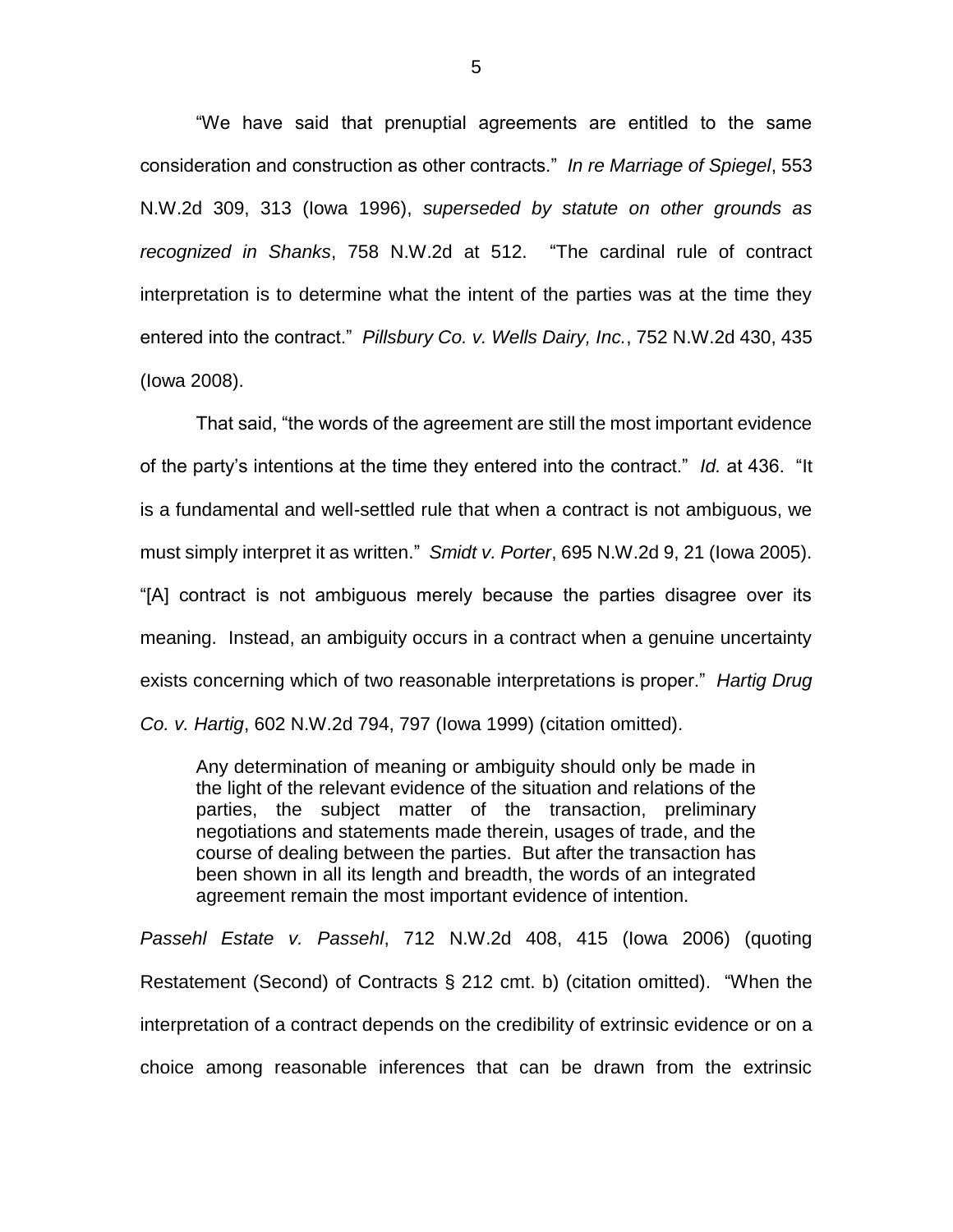"We have said that prenuptial agreements are entitled to the same consideration and construction as other contracts." *In re Marriage of Spiegel*, 553 N.W.2d 309, 313 (Iowa 1996), *superseded by statute on other grounds as recognized in Shanks*, 758 N.W.2d at 512. "The cardinal rule of contract interpretation is to determine what the intent of the parties was at the time they entered into the contract." *Pillsbury Co. v. Wells Dairy, Inc.*, 752 N.W.2d 430, 435 (Iowa 2008).

That said, "the words of the agreement are still the most important evidence of the party's intentions at the time they entered into the contract." *Id.* at 436. "It is a fundamental and well-settled rule that when a contract is not ambiguous, we must simply interpret it as written." *Smidt v. Porter*, 695 N.W.2d 9, 21 (Iowa 2005). "[A] contract is not ambiguous merely because the parties disagree over its meaning. Instead, an ambiguity occurs in a contract when a genuine uncertainty exists concerning which of two reasonable interpretations is proper." *Hartig Drug Co. v. Hartig*, 602 N.W.2d 794, 797 (Iowa 1999) (citation omitted).

Any determination of meaning or ambiguity should only be made in the light of the relevant evidence of the situation and relations of the parties, the subject matter of the transaction, preliminary negotiations and statements made therein, usages of trade, and the course of dealing between the parties. But after the transaction has been shown in all its length and breadth, the words of an integrated agreement remain the most important evidence of intention.

*Passehl Estate v. Passehl*, 712 N.W.2d 408, 415 (Iowa 2006) (quoting Restatement (Second) of Contracts § 212 cmt. b) (citation omitted). "When the interpretation of a contract depends on the credibility of extrinsic evidence or on a choice among reasonable inferences that can be drawn from the extrinsic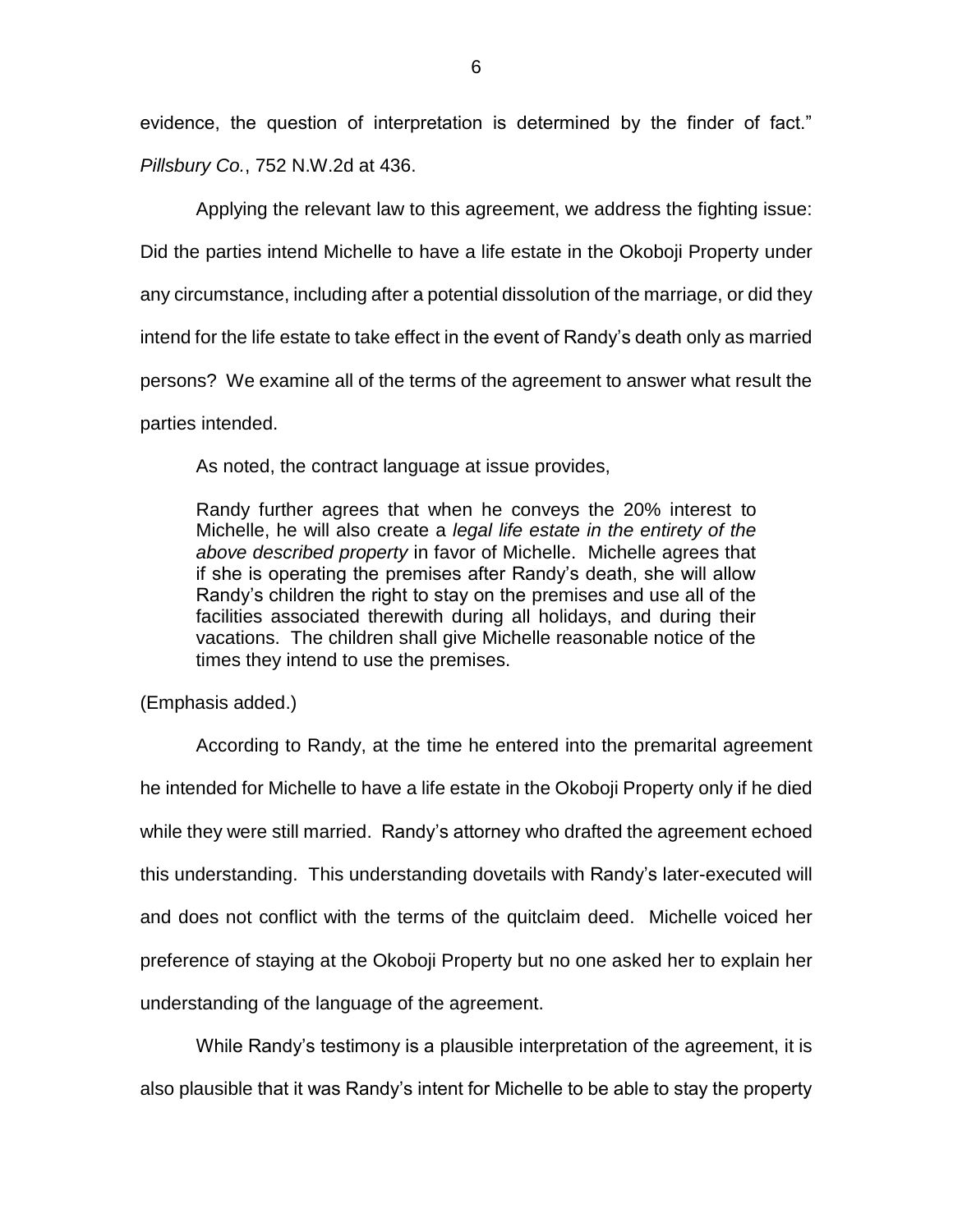evidence, the question of interpretation is determined by the finder of fact." *Pillsbury Co.*, 752 N.W.2d at 436.

Applying the relevant law to this agreement, we address the fighting issue: Did the parties intend Michelle to have a life estate in the Okoboji Property under any circumstance, including after a potential dissolution of the marriage, or did they intend for the life estate to take effect in the event of Randy's death only as married persons? We examine all of the terms of the agreement to answer what result the parties intended.

As noted, the contract language at issue provides,

Randy further agrees that when he conveys the 20% interest to Michelle, he will also create a *legal life estate in the entirety of the above described property* in favor of Michelle. Michelle agrees that if she is operating the premises after Randy's death, she will allow Randy's children the right to stay on the premises and use all of the facilities associated therewith during all holidays, and during their vacations. The children shall give Michelle reasonable notice of the times they intend to use the premises.

(Emphasis added.)

According to Randy, at the time he entered into the premarital agreement he intended for Michelle to have a life estate in the Okoboji Property only if he died while they were still married. Randy's attorney who drafted the agreement echoed this understanding. This understanding dovetails with Randy's later-executed will and does not conflict with the terms of the quitclaim deed. Michelle voiced her preference of staying at the Okoboji Property but no one asked her to explain her understanding of the language of the agreement.

While Randy's testimony is a plausible interpretation of the agreement, it is also plausible that it was Randy's intent for Michelle to be able to stay the property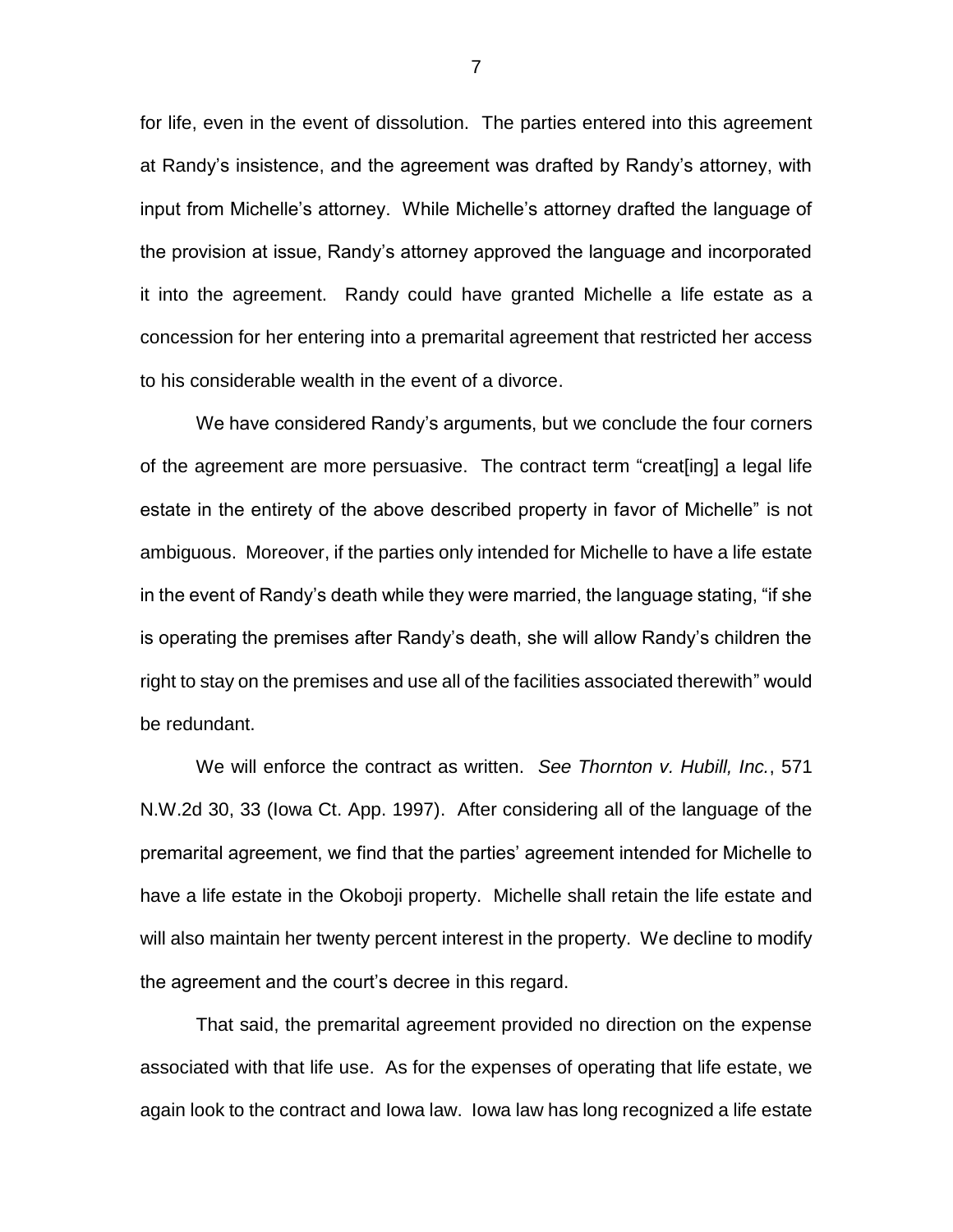for life, even in the event of dissolution. The parties entered into this agreement at Randy's insistence, and the agreement was drafted by Randy's attorney, with input from Michelle's attorney. While Michelle's attorney drafted the language of the provision at issue, Randy's attorney approved the language and incorporated it into the agreement. Randy could have granted Michelle a life estate as a concession for her entering into a premarital agreement that restricted her access to his considerable wealth in the event of a divorce.

We have considered Randy's arguments, but we conclude the four corners of the agreement are more persuasive. The contract term "creat[ing] a legal life estate in the entirety of the above described property in favor of Michelle" is not ambiguous. Moreover, if the parties only intended for Michelle to have a life estate in the event of Randy's death while they were married, the language stating, "if she is operating the premises after Randy's death, she will allow Randy's children the right to stay on the premises and use all of the facilities associated therewith" would be redundant.

We will enforce the contract as written. *See Thornton v. Hubill, Inc.*, 571 N.W.2d 30, 33 (Iowa Ct. App. 1997). After considering all of the language of the premarital agreement, we find that the parties' agreement intended for Michelle to have a life estate in the Okoboji property. Michelle shall retain the life estate and will also maintain her twenty percent interest in the property. We decline to modify the agreement and the court's decree in this regard.

That said, the premarital agreement provided no direction on the expense associated with that life use. As for the expenses of operating that life estate, we again look to the contract and Iowa law. Iowa law has long recognized a life estate

7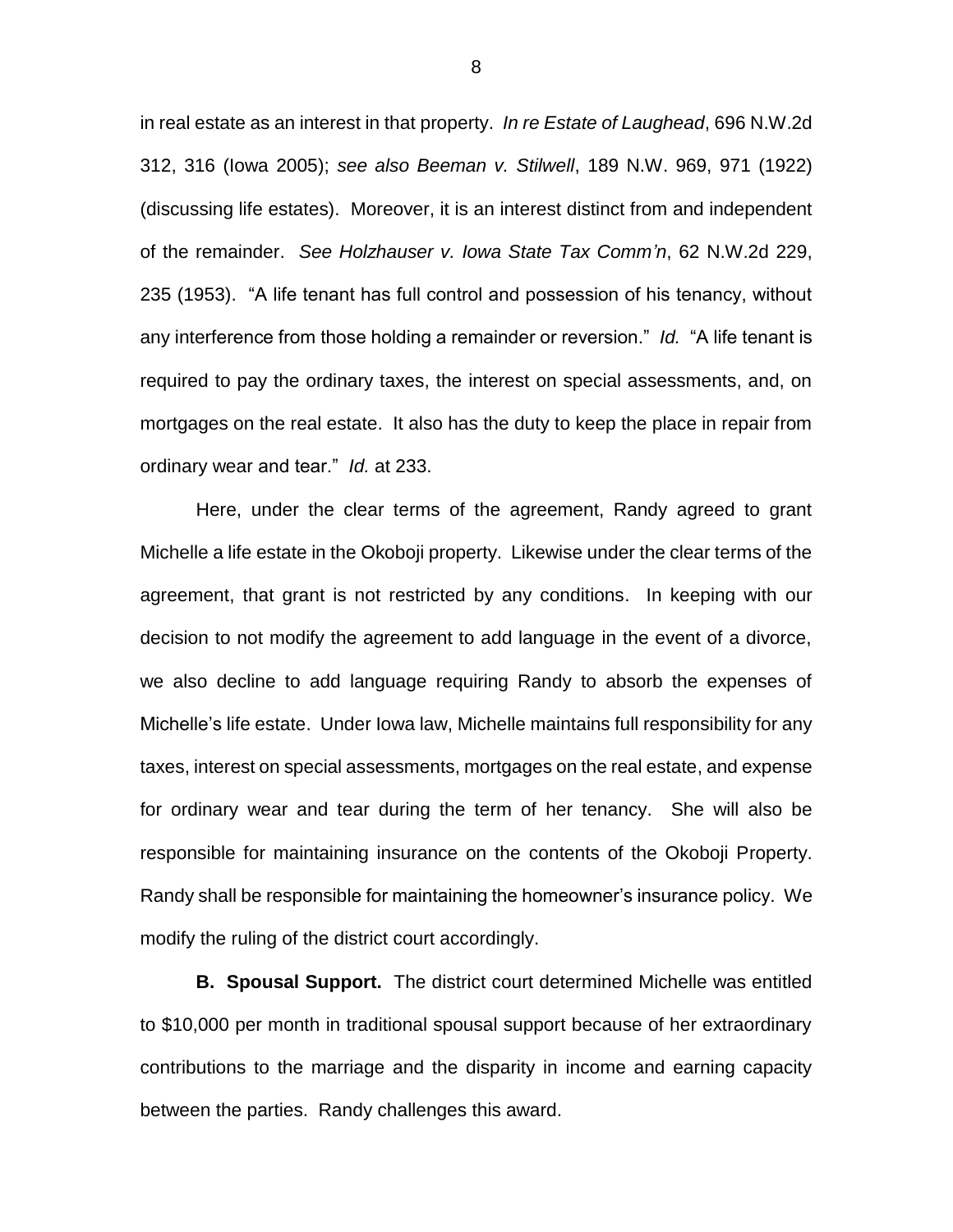in real estate as an interest in that property. *In re Estate of Laughead*, 696 N.W.2d 312, 316 (Iowa 2005); *see also Beeman v. Stilwell*, 189 N.W. 969, 971 (1922) (discussing life estates). Moreover, it is an interest distinct from and independent of the remainder. *See Holzhauser v. Iowa State Tax Comm'n*, 62 N.W.2d 229, 235 (1953). "A life tenant has full control and possession of his tenancy, without any interference from those holding a remainder or reversion." *Id.* "A life tenant is required to pay the ordinary taxes, the interest on special assessments, and, on mortgages on the real estate. It also has the duty to keep the place in repair from ordinary wear and tear." *Id.* at 233.

Here, under the clear terms of the agreement, Randy agreed to grant Michelle a life estate in the Okoboji property. Likewise under the clear terms of the agreement, that grant is not restricted by any conditions. In keeping with our decision to not modify the agreement to add language in the event of a divorce, we also decline to add language requiring Randy to absorb the expenses of Michelle's life estate. Under Iowa law, Michelle maintains full responsibility for any taxes, interest on special assessments, mortgages on the real estate, and expense for ordinary wear and tear during the term of her tenancy. She will also be responsible for maintaining insurance on the contents of the Okoboji Property. Randy shall be responsible for maintaining the homeowner's insurance policy. We modify the ruling of the district court accordingly.

**B. Spousal Support.** The district court determined Michelle was entitled to \$10,000 per month in traditional spousal support because of her extraordinary contributions to the marriage and the disparity in income and earning capacity between the parties. Randy challenges this award.

8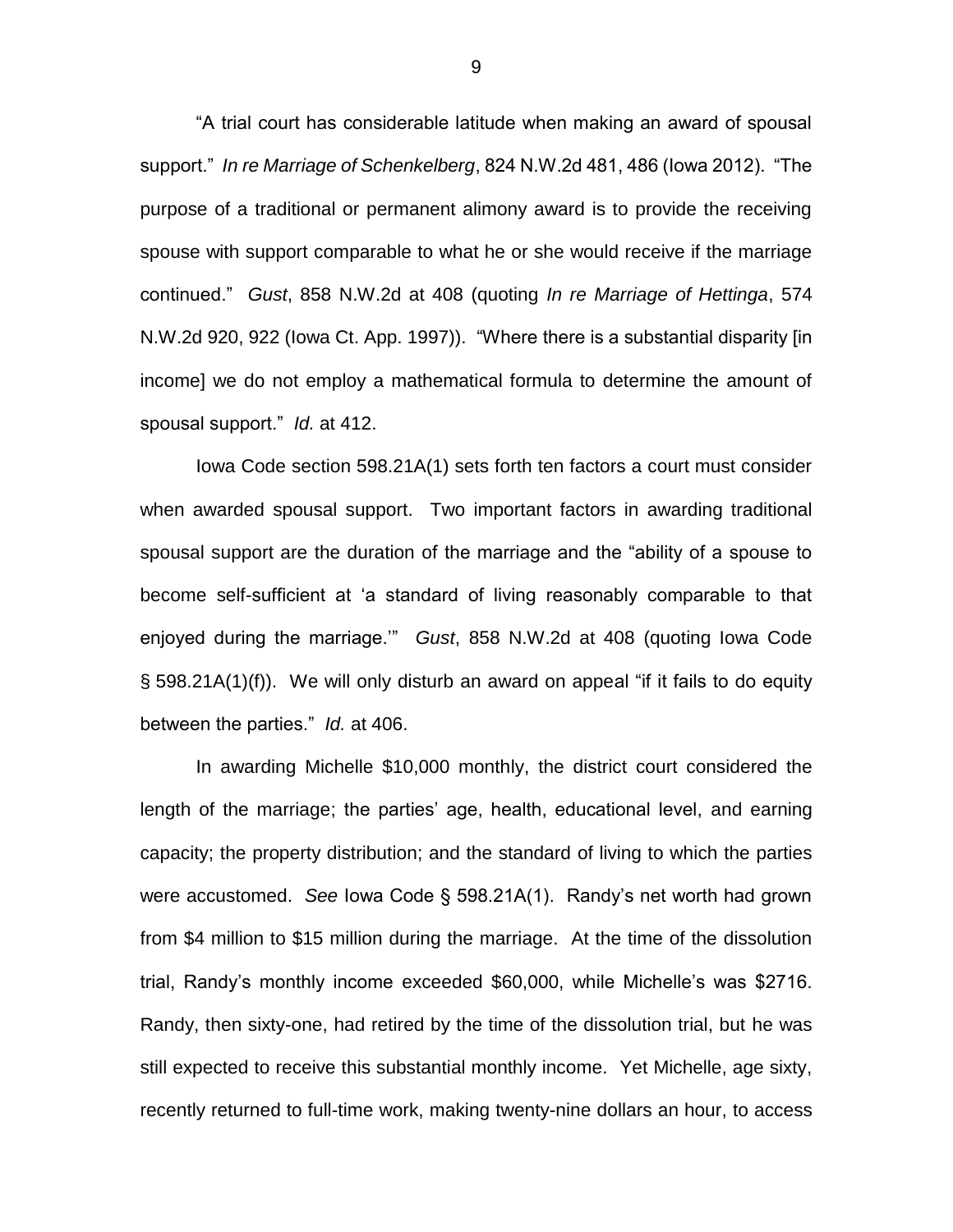"A trial court has considerable latitude when making an award of spousal support." *In re Marriage of Schenkelberg*, 824 N.W.2d 481, 486 (Iowa 2012). "The purpose of a traditional or permanent alimony award is to provide the receiving spouse with support comparable to what he or she would receive if the marriage continued." *Gust*, 858 N.W.2d at 408 (quoting *In re Marriage of Hettinga*, 574 N.W.2d 920, 922 (Iowa Ct. App. 1997)). "Where there is a substantial disparity [in income] we do not employ a mathematical formula to determine the amount of spousal support." *Id.* at 412.

Iowa Code section 598.21A(1) sets forth ten factors a court must consider when awarded spousal support. Two important factors in awarding traditional spousal support are the duration of the marriage and the "ability of a spouse to become self-sufficient at 'a standard of living reasonably comparable to that enjoyed during the marriage.'" *Gust*, 858 N.W.2d at 408 (quoting Iowa Code § 598.21A(1)(f)). We will only disturb an award on appeal "if it fails to do equity between the parties." *Id.* at 406.

In awarding Michelle \$10,000 monthly, the district court considered the length of the marriage; the parties' age, health, educational level, and earning capacity; the property distribution; and the standard of living to which the parties were accustomed. *See* Iowa Code § 598.21A(1). Randy's net worth had grown from \$4 million to \$15 million during the marriage. At the time of the dissolution trial, Randy's monthly income exceeded \$60,000, while Michelle's was \$2716. Randy, then sixty-one, had retired by the time of the dissolution trial, but he was still expected to receive this substantial monthly income. Yet Michelle, age sixty, recently returned to full-time work, making twenty-nine dollars an hour, to access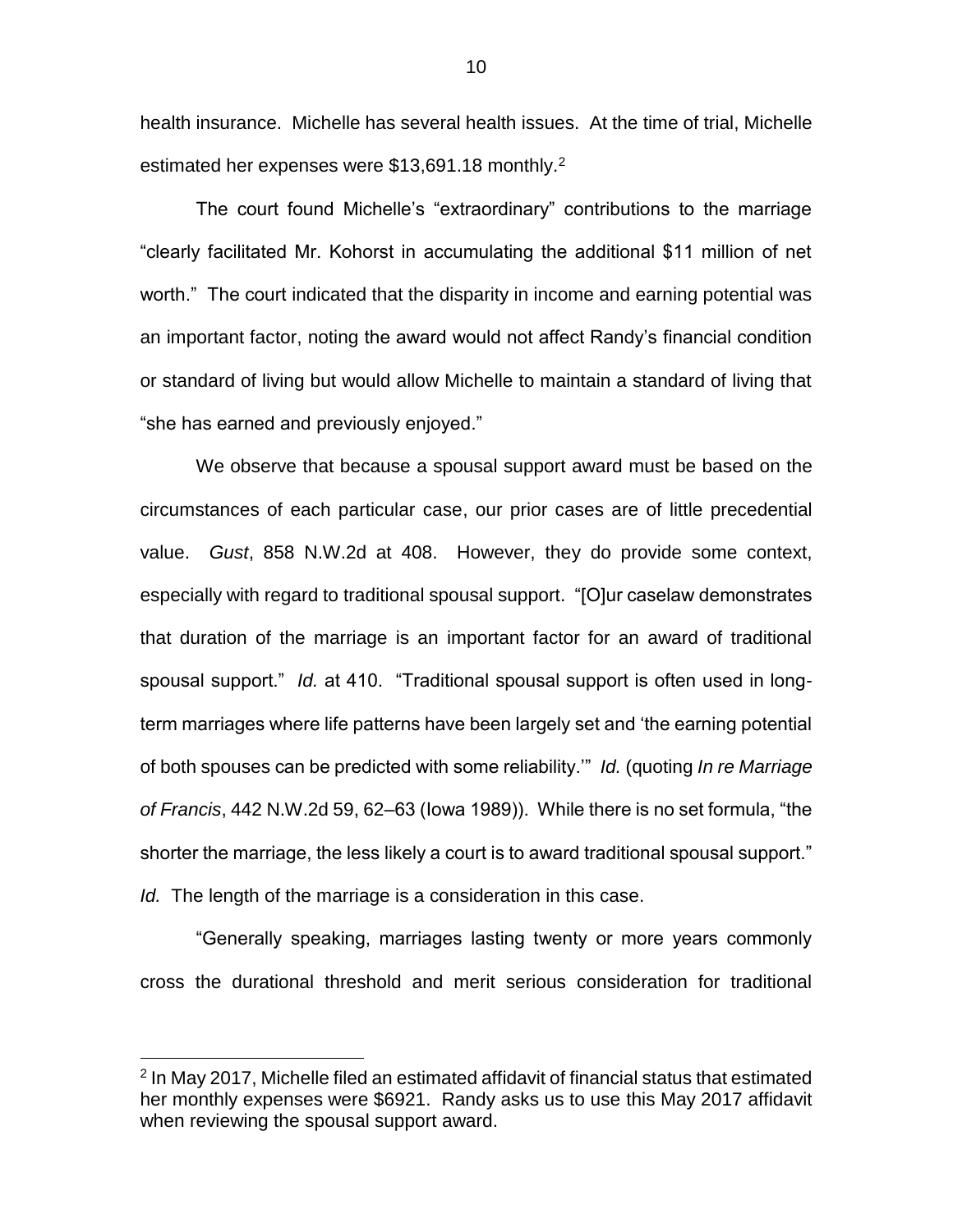health insurance. Michelle has several health issues. At the time of trial, Michelle estimated her expenses were  $$13,691.18$  monthly.<sup>2</sup>

The court found Michelle's "extraordinary" contributions to the marriage "clearly facilitated Mr. Kohorst in accumulating the additional \$11 million of net worth." The court indicated that the disparity in income and earning potential was an important factor, noting the award would not affect Randy's financial condition or standard of living but would allow Michelle to maintain a standard of living that "she has earned and previously enjoyed."

We observe that because a spousal support award must be based on the circumstances of each particular case, our prior cases are of little precedential value. *Gust*, 858 N.W.2d at 408. However, they do provide some context, especially with regard to traditional spousal support. "[O]ur caselaw demonstrates that duration of the marriage is an important factor for an award of traditional spousal support." *Id.* at 410. "Traditional spousal support is often used in longterm marriages where life patterns have been largely set and 'the earning potential of both spouses can be predicted with some reliability.'" *Id.* (quoting *In re Marriage of Francis*, 442 N.W.2d 59, 62–63 (Iowa 1989)). While there is no set formula, "the shorter the marriage, the less likely a court is to award traditional spousal support." *Id.* The length of the marriage is a consideration in this case.

"Generally speaking, marriages lasting twenty or more years commonly cross the durational threshold and merit serious consideration for traditional

 $\overline{a}$ 

<sup>&</sup>lt;sup>2</sup> In May 2017, Michelle filed an estimated affidavit of financial status that estimated her monthly expenses were \$6921. Randy asks us to use this May 2017 affidavit when reviewing the spousal support award.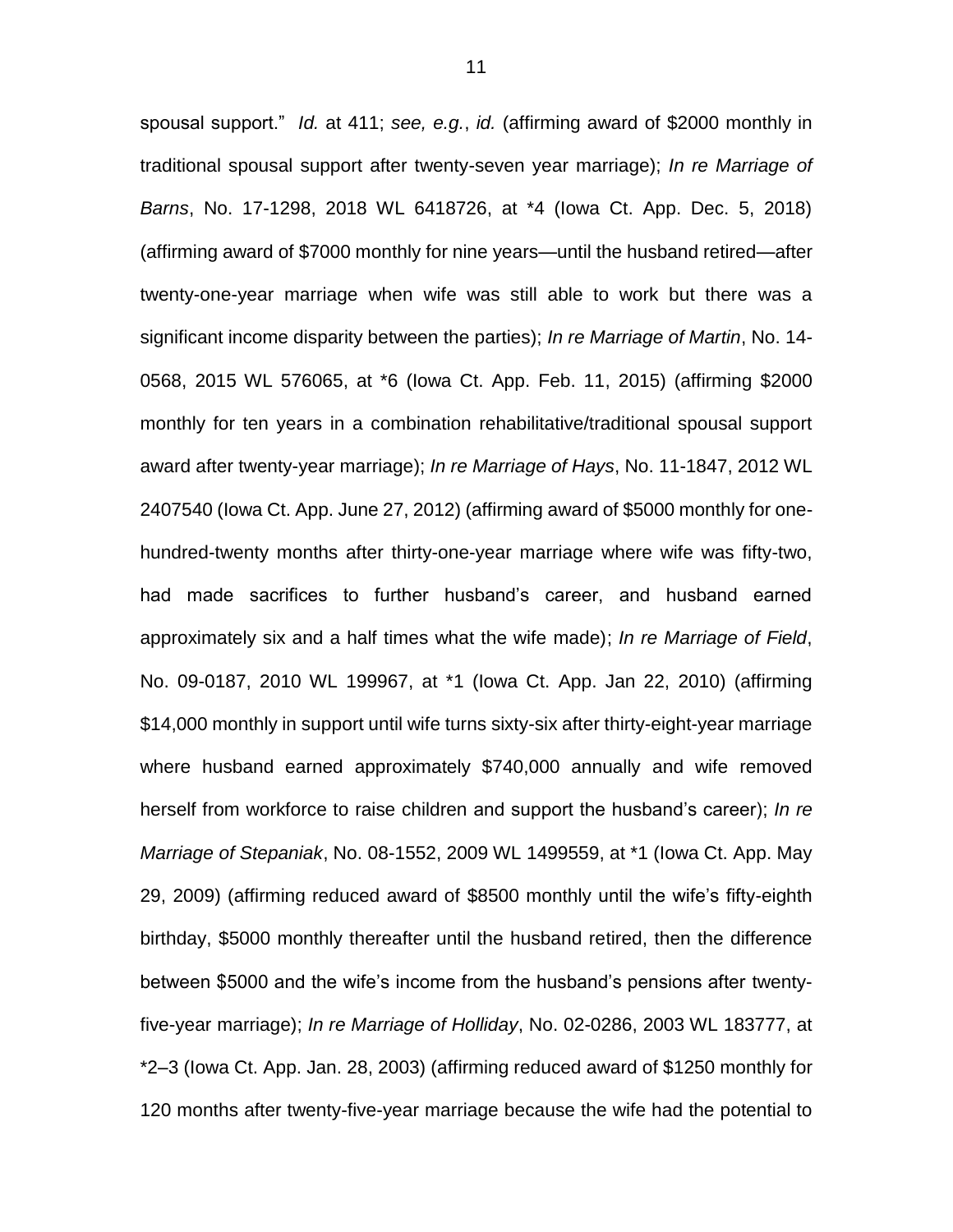spousal support." *Id.* at 411; *see, e.g.*, *id.* (affirming award of \$2000 monthly in traditional spousal support after twenty-seven year marriage); *In re Marriage of Barns*, No. 17-1298, 2018 WL 6418726, at \*4 (Iowa Ct. App. Dec. 5, 2018) (affirming award of \$7000 monthly for nine years—until the husband retired—after twenty-one-year marriage when wife was still able to work but there was a significant income disparity between the parties); *In re Marriage of Martin*, No. 14- 0568, 2015 WL 576065, at \*6 (Iowa Ct. App. Feb. 11, 2015) (affirming \$2000 monthly for ten years in a combination rehabilitative/traditional spousal support award after twenty-year marriage); *In re Marriage of Hays*, No. 11-1847, 2012 WL 2407540 (Iowa Ct. App. June 27, 2012) (affirming award of \$5000 monthly for onehundred-twenty months after thirty-one-year marriage where wife was fifty-two, had made sacrifices to further husband's career, and husband earned approximately six and a half times what the wife made); *In re Marriage of Field*, No. 09-0187, 2010 WL 199967, at \*1 (Iowa Ct. App. Jan 22, 2010) (affirming \$14,000 monthly in support until wife turns sixty-six after thirty-eight-year marriage where husband earned approximately \$740,000 annually and wife removed herself from workforce to raise children and support the husband's career); *In re Marriage of Stepaniak*, No. 08-1552, 2009 WL 1499559, at \*1 (Iowa Ct. App. May 29, 2009) (affirming reduced award of \$8500 monthly until the wife's fifty-eighth birthday, \$5000 monthly thereafter until the husband retired, then the difference between \$5000 and the wife's income from the husband's pensions after twentyfive-year marriage); *In re Marriage of Holliday*, No. 02-0286, 2003 WL 183777, at \*2–3 (Iowa Ct. App. Jan. 28, 2003) (affirming reduced award of \$1250 monthly for 120 months after twenty-five-year marriage because the wife had the potential to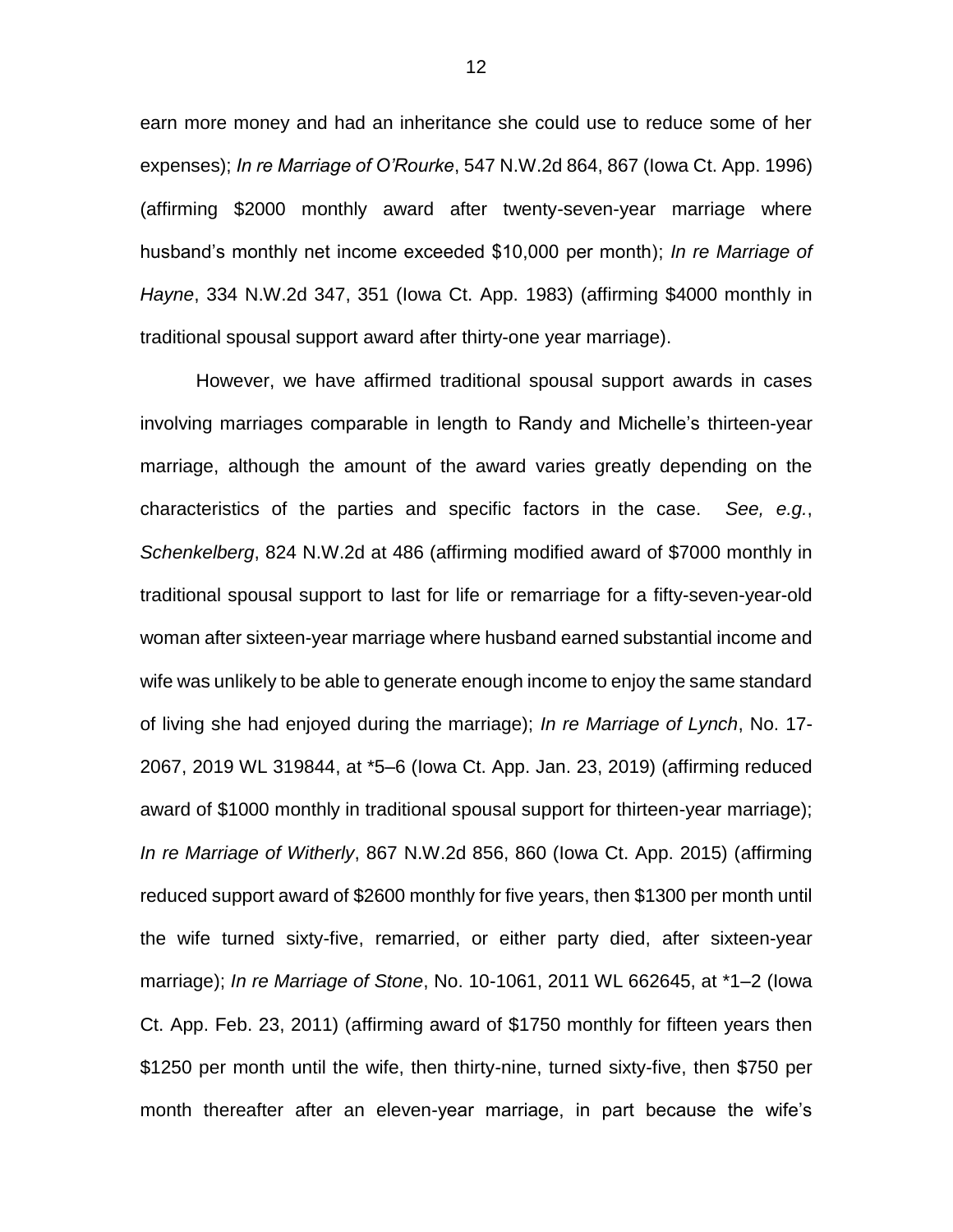earn more money and had an inheritance she could use to reduce some of her expenses); *In re Marriage of O'Rourke*, 547 N.W.2d 864, 867 (Iowa Ct. App. 1996) (affirming \$2000 monthly award after twenty-seven-year marriage where husband's monthly net income exceeded \$10,000 per month); *In re Marriage of Hayne*, 334 N.W.2d 347, 351 (Iowa Ct. App. 1983) (affirming \$4000 monthly in traditional spousal support award after thirty-one year marriage).

However, we have affirmed traditional spousal support awards in cases involving marriages comparable in length to Randy and Michelle's thirteen-year marriage, although the amount of the award varies greatly depending on the characteristics of the parties and specific factors in the case. *See, e.g.*, *Schenkelberg*, 824 N.W.2d at 486 (affirming modified award of \$7000 monthly in traditional spousal support to last for life or remarriage for a fifty-seven-year-old woman after sixteen-year marriage where husband earned substantial income and wife was unlikely to be able to generate enough income to enjoy the same standard of living she had enjoyed during the marriage); *In re Marriage of Lynch*, No. 17- 2067, 2019 WL 319844, at \*5–6 (Iowa Ct. App. Jan. 23, 2019) (affirming reduced award of \$1000 monthly in traditional spousal support for thirteen-year marriage); *In re Marriage of Witherly*, 867 N.W.2d 856, 860 (Iowa Ct. App. 2015) (affirming reduced support award of \$2600 monthly for five years, then \$1300 per month until the wife turned sixty-five, remarried, or either party died, after sixteen-year marriage); *In re Marriage of Stone*, No. 10-1061, 2011 WL 662645, at \*1–2 (Iowa Ct. App. Feb. 23, 2011) (affirming award of \$1750 monthly for fifteen years then \$1250 per month until the wife, then thirty-nine, turned sixty-five, then \$750 per month thereafter after an eleven-year marriage, in part because the wife's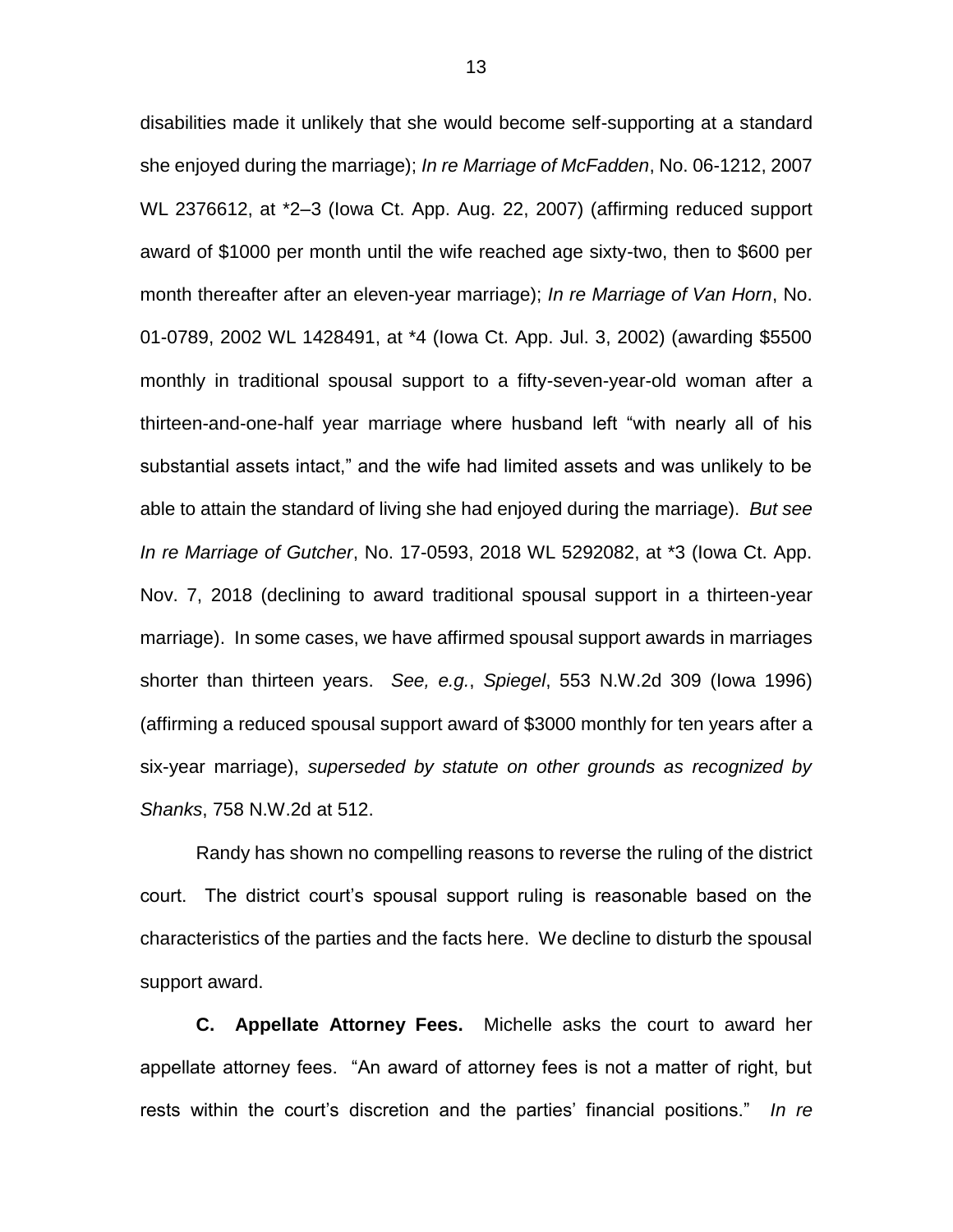disabilities made it unlikely that she would become self-supporting at a standard she enjoyed during the marriage); *In re Marriage of McFadden*, No. 06-1212, 2007 WL 2376612, at \*2–3 (Iowa Ct. App. Aug. 22, 2007) (affirming reduced support award of \$1000 per month until the wife reached age sixty-two, then to \$600 per month thereafter after an eleven-year marriage); *In re Marriage of Van Horn*, No. 01-0789, 2002 WL 1428491, at \*4 (Iowa Ct. App. Jul. 3, 2002) (awarding \$5500 monthly in traditional spousal support to a fifty-seven-year-old woman after a thirteen-and-one-half year marriage where husband left "with nearly all of his substantial assets intact," and the wife had limited assets and was unlikely to be able to attain the standard of living she had enjoyed during the marriage). *But see In re Marriage of Gutcher*, No. 17-0593, 2018 WL 5292082, at \*3 (Iowa Ct. App. Nov. 7, 2018 (declining to award traditional spousal support in a thirteen-year marriage). In some cases, we have affirmed spousal support awards in marriages shorter than thirteen years. *See, e.g.*, *Spiegel*, 553 N.W.2d 309 (Iowa 1996) (affirming a reduced spousal support award of \$3000 monthly for ten years after a six-year marriage), *superseded by statute on other grounds as recognized by Shanks*, 758 N.W.2d at 512.

Randy has shown no compelling reasons to reverse the ruling of the district court. The district court's spousal support ruling is reasonable based on the characteristics of the parties and the facts here. We decline to disturb the spousal support award.

**C. Appellate Attorney Fees.** Michelle asks the court to award her appellate attorney fees. "An award of attorney fees is not a matter of right, but rests within the court's discretion and the parties' financial positions." *In re*